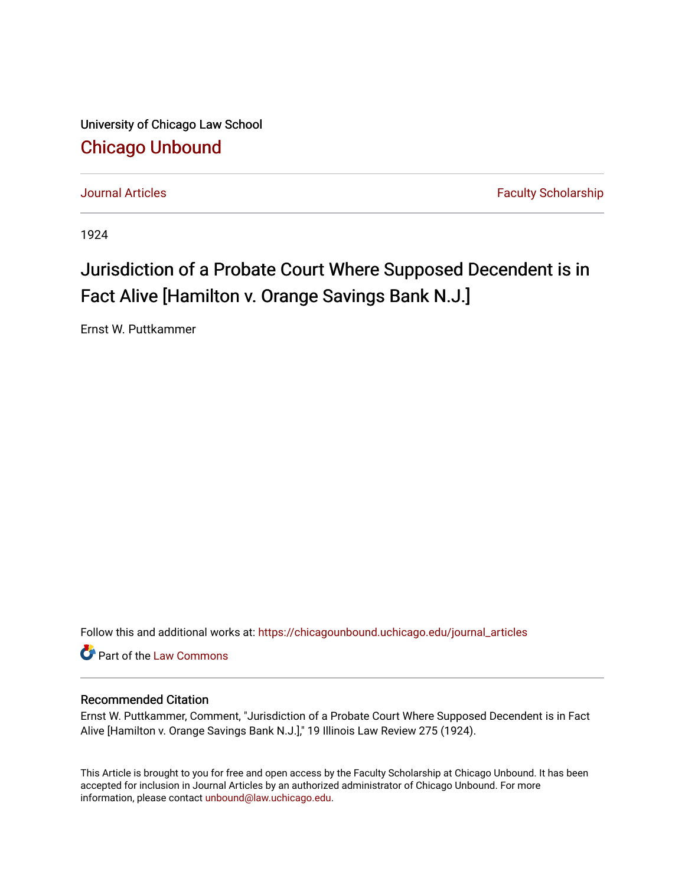University of Chicago Law School [Chicago Unbound](https://chicagounbound.uchicago.edu/)

[Journal Articles](https://chicagounbound.uchicago.edu/journal_articles) **Faculty Scholarship Journal Articles** 

1924

## Jurisdiction of a Probate Court Where Supposed Decendent is in Fact Alive [Hamilton v. Orange Savings Bank N.J.]

Ernst W. Puttkammer

Follow this and additional works at: [https://chicagounbound.uchicago.edu/journal\\_articles](https://chicagounbound.uchicago.edu/journal_articles?utm_source=chicagounbound.uchicago.edu%2Fjournal_articles%2F9195&utm_medium=PDF&utm_campaign=PDFCoverPages) 

Part of the [Law Commons](http://network.bepress.com/hgg/discipline/578?utm_source=chicagounbound.uchicago.edu%2Fjournal_articles%2F9195&utm_medium=PDF&utm_campaign=PDFCoverPages)

## Recommended Citation

Ernst W. Puttkammer, Comment, "Jurisdiction of a Probate Court Where Supposed Decendent is in Fact Alive [Hamilton v. Orange Savings Bank N.J.]," 19 Illinois Law Review 275 (1924).

This Article is brought to you for free and open access by the Faculty Scholarship at Chicago Unbound. It has been accepted for inclusion in Journal Articles by an authorized administrator of Chicago Unbound. For more information, please contact [unbound@law.uchicago.edu](mailto:unbound@law.uchicago.edu).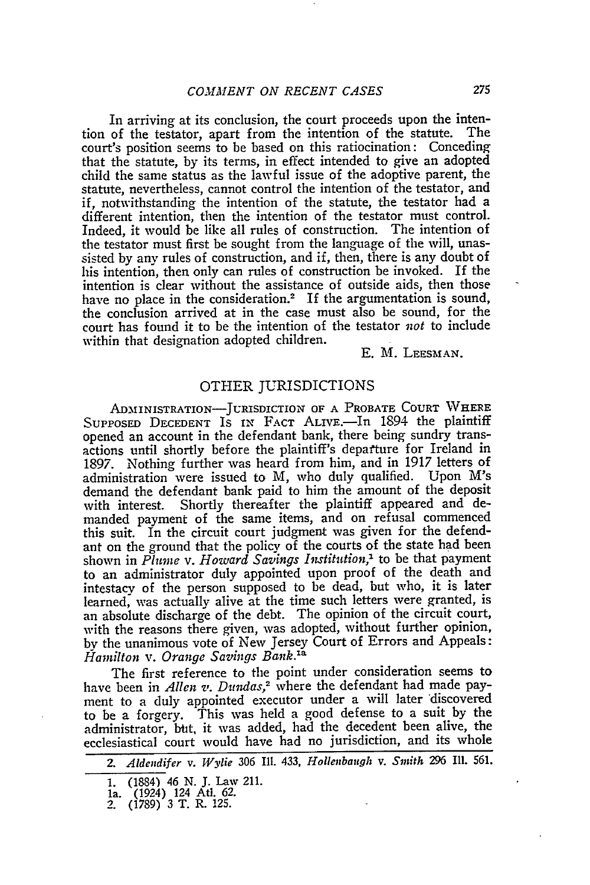In arriving at its conclusion, the court proceeds upon the inten-<br>of the testator, apart from the intention of the statute. The tion of the testator, apart from the intention of the statute. court's position seems to be based on this ratiocination: Conceding that the statute, **by** its terms, in effect intended to give an adopted child the same status as the lawful issue of the adoptive parent, the statute, nevertheless, cannot control the intention of the testator, and if, notwithstanding the intention of the statute, the testator had a different intention, then the intention of the testator must control. Indeed, it would be like all rules of construction. The intention of the testator must first be sought from the language of the will, unassisted **by** any rules of construction, and if, then, there is any doubt of his intention, then only can rules of construction be invoked. If the intention is clear without the assistance of outside aids, then those have no place in the consideration.<sup>2</sup> If the argumentation is sound, the conclusion arrived at in the case must also be sound, for the court has found it to be the intention of the testator *not* to include within that designation adopted children.

**E.** M. LEESMAN.

## OTHER JURISDICTIONS

ADMIINISTRATION-JURISDICTION OF **A** PROBATE **COURT WHERE** SUPPOSED DECEDENT IS IN FACT ALIVE.-In 1894 the plaintiff opened an account in the defendant bank, there being sundry transactions until shortly before the plaintiff's depafture for Ireland in 1897. Nothing further was heard from him, and in 1917 letters of administration were issued to M, who duly qualified. Upon M's demand the defendant bank paid to him the amount of the deposit with interest. Shortly thereafter the plaintiff appeared and demanded payment of the same items, and on refusal commenced this suit. In the circuit court judgment was given for the defendant on the ground that the policy of the courts of the state had been shown in *Plume v. Howard Savings Institution,'* to be that payment to an administrator duly appointed upon proof of the death and intestacy of the person supposed to be dead, but who, it is later learned, was actually alive at the time such letters were granted, is an absolute discharge of the debt. The opinion of the circuit court, with the reasons there given, was adopted, without further opinion, by the unanimous vote of New Jersey Court of Errors and Appeals: *Hamilton v. Orange Savings Bank.la*

The first reference to the point under consideration seems to have been in *Allen v. Dundas,2* where the defendant had made payment to a duly appointed executor under a will later discovered to be a forgery. This was held a good defense to a suit **by** the administrator, bbt, it was added, had the decedent been alive, the ecclesiastical court would have had no jurisdiction, and its whole

*<sup>2.</sup> Aldendifer v. Wylie* 306 IlL. 433, *Hollenbauqh v. Smith 296* **Il1.** 561.

**<sup>1.</sup>** (1884) 46 **N. J.** Law **211.**

**la.** (1924) 124 At. **62.** 2. **(1789) 3** T. R. **125.**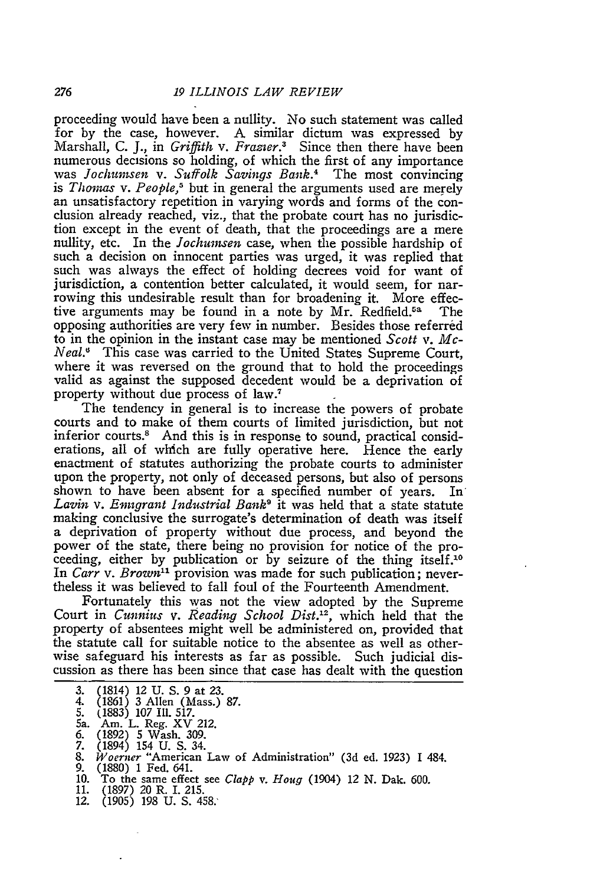proceeding would have been a nullity. No such statement was called for by the case, however. A similar dictum was expressed by Marshall, C. J., in *Griffith v. Frazier.3* Since then there have been numerous decisions so holding, of which the first of any importance<br>was *Jochumsen* v. Suffolk Savings Bank.<sup>4</sup> The most convincing is *Thomas v. People,<sup>5</sup>* but in general the arguments used are merely an unsatisfactory repetition in varying words and forms of the conclusion already reached, viz., that the probate court has no jurisdiction except in the event of death, that the proceedings are a mere nullity, etc. In the *Jochuinsen* case, when the possible hardship of such a decision on innocent parties was urged, it was replied that such was always the effect of holding decrees void for want of jurisdiction, a contention better calculated, it would seem, for narrowing this undesirable result than for broadening it. More effective arguments may be found in a note by Mr. Redfield.<sup>5a</sup> The opposing authorities are very few in number. Besides those referred to in the opinion in the instant case may be mentioned *Scott v. Mc-Neal."* This case was carried to the United States Supreme Court, where it was reversed on the ground that to hold the proceedings valid as against the supposed decedent would be a deprivation of property without due process of law.7

The tendency in general is to increase the powers of probate courts and to make of them courts of limited jurisdiction, but not inferior courts.<sup>8</sup> And this is in response to sound, practical considerations, all of which are fully operative here. Hence the early enactment of statutes authorizing the probate courts to administer upon the property, not only of deceased persons, but also of persons shown to have been absent for a specified number of years. In' *Lavin v. Emigrant Industrial Bank9* it was held that a state statute making conclusive the surrogate's determination of death was itself a deprivation of property without due process, and beyond the power of the state, there being no provision for notice of the proceeding, either by publication or by seizure of the thing itself.<sup>10</sup> In *Carr v. Brown"* provision was made for such publication; nevertheless it was believed to fall foul of the Fourteenth Amendment.

Fortunately this was not the view adopted by the Supreme Court in *Cunnius v. Reading School Dist.12 ,* which held that the property of absentees might well be administered on, provided that the statute call for suitable notice to the absentee as well as otherwise safeguard his interests as far as possible. Such judicial discussion as there has been since that case has dealt with the question

- 3. (1814) 12 U. S. 9 at 23. 4. (1861) 3 Allen (Mass.) 87.
- 
- 5. (1883) 107 IIl. 517.
- 5a. Am. L. Reg. XV 212. 6. (1892) 5 Wash. 309. 7. (1894) 154 U. S. 34.
- 
- 
- 8. (1894) 154 168 169.<br>8. *Woerner* "American Law of Administration" (3d ed. 1923) I 484.<br>9. (1880) 1 Fed. 641.
- (1880) 1 Fed. 641.
- 10. To the same effect see *Clapp v. Houg* (1904) 12 N. Dak. 600.
- 11. (1897) 20 R. I. 215.
- 12. (1905) 198 U. S. 458: